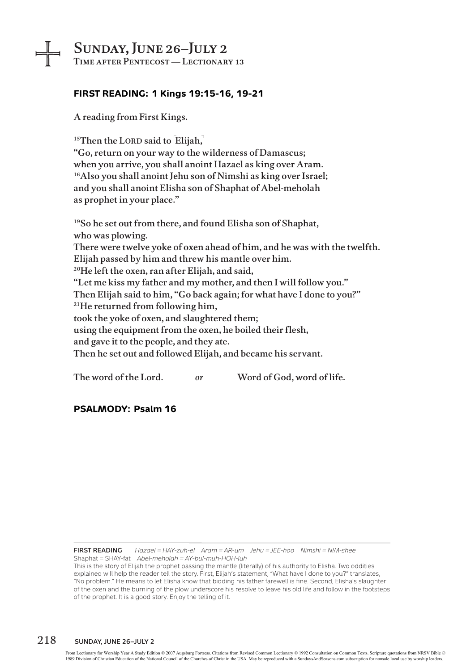# Sunday, June 26–July 2

Time after Pentecost — Lectionary 13

## **FIRST READING: 1 Kings 19:15-16, 19-21**

A reading from First Kings.

╺╬╕

 $15$ Then the LORD said to  $[E$ lijah,

"Go, return on your way to the wilderness of Damascus; when you arrive, you shall anoint Hazael as king over Aram. <sup>16</sup>Also you shall anoint Jehu son of Nimshi as king over Israel; and you shall anoint Elisha son of Shaphat of Abel-meholah as prophet in your place."

19So he set out from there, and found Elisha son of Shaphat, who was plowing. There were twelve yoke of oxen ahead of him, and he was with the twelfth. Elijah passed by him and threw his mantle over him. 20He left the oxen, ran after Elijah, and said, "Let me kiss my father and my mother, and then I will follow you." Then Elijah said to him, "Go back again; for what have I done to you?" 21He returned from following him, took the yoke of oxen, and slaughtered them; using the equipment from the oxen, he boiled their flesh, and gave it to the people, and they ate. Then he set out and followed Elijah, and became his servant.

The word of the Lord. *or* Word of God, word of life.

### **PSALMODY: Psalm 16**

**First Reading** *Hazael = HAY-zuh-el Aram = AR-um Jehu = JEE-hoo Nimshi = NIM-shee* Shaphat = SHAY-fat *Abel-meholah = AY-bul-muh-HOH-luh*

This is the story of Elijah the prophet passing the mantle (literally) of his authority to Elisha. Two oddities explained will help the reader tell the story. First, Elijah's statement, "What have I done to you?" translates, "No problem." He means to let Elisha know that bidding his father farewell is fine. Second, Elisha's slaughter of the oxen and the burning of the plow underscore his resolve to leave his old life and follow in the footsteps of the prophet. It is a good story. Enjoy the telling of it.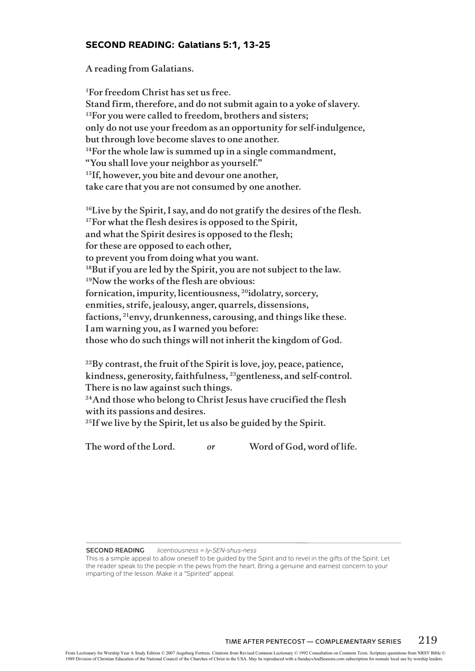#### **SECOND READING: Galatians 5:1, 13-25**

A reading from Galatians.

1For freedom Christ has set us free. Stand firm, therefore, and do not submit again to a yoke of slavery. <sup>13</sup>For you were called to freedom, brothers and sisters; only do not use your freedom as an opportunity for self-indulgence, but through love become slaves to one another.  $14$ For the whole law is summed up in a single commandment, "You shall love your neighbor as yourself." <sup>15</sup>If, however, you bite and devour one another, take care that you are not consumed by one another.

<sup>16</sup>Live by the Spirit, I say, and do not gratify the desires of the flesh. <sup>17</sup>For what the flesh desires is opposed to the Spirit, and what the Spirit desires is opposed to the flesh; for these are opposed to each other, to prevent you from doing what you want. <sup>18</sup>But if you are led by the Spirit, you are not subject to the law. 19Now the works of the flesh are obvious: fornication, impurity, licentiousness, 20idolatry, sorcery, enmities, strife, jealousy, anger, quarrels, dissensions, factions, 21envy, drunkenness, carousing, and things like these. I am warning you, as I warned you before: those who do such things will not inherit the kingdom of God.

 $^{22}$ By contrast, the fruit of the Spirit is love, joy, peace, patience, kindness, generosity, faithfulness, 23gentleness, and self-control. There is no law against such things.

<sup>24</sup>And those who belong to Christ Jesus have crucified the flesh with its passions and desires.

 $25$ If we live by the Spirit, let us also be guided by the Spirit.

The word of the Lord. *or* Word of God, word of life.

**Second Reading** *licentiousness = ly-SEN-shus-ness*

This is a simple appeal to allow oneself to be guided by the Spirit and to revel in the gifts of the Spirit. Let the reader speak to the people in the pews from the heart. Bring a genuine and earnest concern to your imparting of the lesson. Make it a "Spirited" appeal.